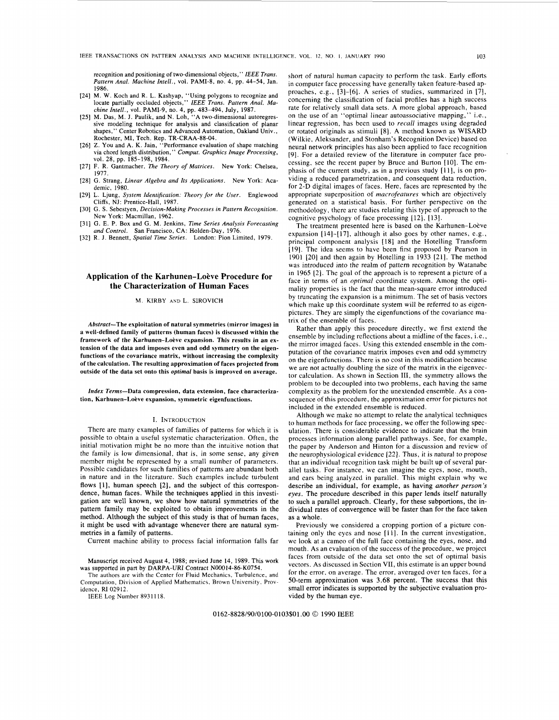recognition and positioning of two-dimensional objects," IEEE *Trans. Pattern Anal. Machine Intell.,* vol. PAMI-8, no. 4, pp. 44-54, Jan. 1986.

- [24] M. W. Koch and R. L. Kashyap, "Using polygons to recognize and locate partially occluded objects," IEEE *Trans. Pattern Anal. Ma-*
- *chine Intell.,* vol. PAMI-9, no. 4, pp. 483-494, July, 1987. [25] M. Das, M. J. Paulik, and N. Loh, "A two-dimensional autoregressive modeling technique for analysis and classification of planar shapes," Center Robotics and Advanced Automation, Oakland Univ., Rochester, MI, Tech. Rep. TR-CRAA-88-04.
- [26] Z. You and A. K. Jain, "Performance evaluation of shape matching via chord length distribution," *Cornput. Graphics Image Processing,*  vol. 28, pp. 185-198, 1984.
- [27] F. R. Gantmacher, *The Theory of Matrices.* New York: Chelsea, 1977.
- [28] G. Strang, *Linear Algebra and Its Applications.* New York: Aca demic, 1980.
- [29] L. Ljung, *System Identijication: Theory for the User.* Englewood Cliffs, NJ: Prentice-Hall, 1987.
- [30] G. S. Sebestyen, *Decision-Making Processes in Pattern Recognition.*  New York: Macmillan, 1962.
- [31] G. E. P. **Box** and G. M. Jenkins, *Time Series Analysis Forecasting and Control.* San Francisco, CA: Holden-Day, 1976.
- [32] R. J. Bennett, *Spatial Time Series.*  London: Pion Limited, 1979.

## Application of the Karhunen-Loève Procedure for **the Characterization of Human Faces**

### M. KIRBY AND L. SIROVICH

Abstract-The exploitation of natural symmetries (mirror images) in a well-defined family of patterns (human faces) is discussed within the framework of the Karhunen-Loève expansion. This results in an extension of the data and imposes even and odd symmetry on the eigenfunctions of the covariance matrix, without increasing the complexity of the calculation. The resulting approximation of faces projected from outside of the data set onto this optimal basis is improved on average.

Index Terms-Data compression, data extension, face characterization, Karhunen-Loève expansion, symmetric eigenfunctions.

#### I. INTRODUCTION

There are many examples of families of patterns for which it is possible to obtain a useful systematic characterization. Often, the initial motivation might be no more than the intuitive notion that the family is low dimensional, that is, in some sense, any given member might be represented by a small number of parameters. Possible candidates for such families of patterns are abundant both in nature and in the literature. Such examples include turbulent flows [1], human speech [2], and the subject of this correspondence, human faces. While the techniques applied in this investigation are well known, we show how natural symmetries of the pattern family may be exploited to obtain improvements in the method. Although the subject of this study is that of human faces, it might be used with advantage whenever there are natural symmetries in a family of patterns.

Current machine ability to process facial information falls far

Manuscript received August 4, 1988; revised June 14, 1989. This work was supported in part by DARPA-URI Contract N00014-86-KO754.

The authors are with the Center for Fluid Mechanics, Turbulence, and Computation. Division of Applied Mathematics. Brown University. Providence, RI 02912.

IEEE Log Number 893 11 18.

short of natural human capacity to perform the task. Early efforts in computer face processing have generally taken feature-based approaches, e.g., 131-161. A series of studies, summarized in [7], concerning the classification of facial profiles has a high success rate for relatively small data sets. A more global approach, based on the use of an "optimal linear autoassociative mapping," i.e., linear regression, has been used to *recall* images using degraded or rotated originals as stimuli [8]. A method known as WISARD (Wilkie, Aleksander, and Stonham's Recognition Device) based on neural network principles has also been applied to face recognition 191. For a detailed review of the literature in computer face processing, see the recent paper by Bruce and Burton [IO]. The emphasis of the current study, as in a previous study [I I], is on providing a reduced parametrization, and consequent data reduction, for 2-D digital images of faces. Here, faces are represented by the appropriate superposition of *macrofeatures* which are objectively generated on a statistical basis. For further perspective on the methodology, there are studies relating this type of approach to the cognitive psychology of face processing [12], 1131.

The treatment presented here is based on the Karhunen-Loève expansion  $[14]-[17]$ , although it also goes by other names, e.g., principal component analysis [ 181 and the Hotelling Transform **[19].** The idea seems to have been first proposed by Pearson in 1901 [20] and then again by Hotelling in 1933 1211. The method was introduced into the realm of pattern recognition by Watanabe in 1965 [2]. The goal of the approach is to represent a picture of a face in terms of an *optimal* coordinate system. Among the optimality properties is the fact that the mean-square error introduced by truncating the expansion is a minimum. The set of basis vectors which make up this coordinate system will be referred to as eigenpictures. They are simply the eigenfunctions of the covariance matrix of the ensemble of faces.

Rather than apply this procedure directly, we first extend the ensemble by including reflections about a midline of the faces, i.e., the mirror imaged faces. Using this extended ensemble in the computation of the covariance matrix imposes even and odd symmetry on the eigenfunctions. There is no cost in this modification because we are not actually doubling the size of the matrix in the eigenvector calculation. As shown in Section **111,** the symmetry allows the problem to be decoupled into two problems, each having the same complexity as the problem for the unextended ensemble. **As** a consequence of this procedure, the approximation error for pictures not included in the extended ensemble is reduced.

Although we make no attempt to relate the analytical techniques to human methods for face processing, we offer the following speculation. There is considerable evidence to indicate that the brain processes information along parallel pathways. See, for example, the paper by Anderson and Hinton for a discussion and review of the neurophysiological evidence [22]. Thus, it is natural to propose that an individual recognition task might be built up of several parallel tasks. For instance, we can imagine the eyes, nose, mouth, and ears being analyzed in parallel. This might explain why we describe an individual, for example, as having *another person's eyes.* The procedure described in this paper lends itself naturally to such a parallel approach. Clearly, for these subportions, the individual rates of convergence will be faster than for the face taken as a whole.

Previously we considered a cropping portion of a picture containing only the eyes and nose [11]. In the current investigation, we look at a cameo of the full face containing the eyes, nose, and mouth. **As** an evaluation of the success of the procedure, we project faces from outside of the data set onto the set of optimal basis vectors. As discussed in Section VII, this estimate is an upper bound for the error, on average. The error, averaged over ten faces, for a 50-term approximation was 3.68 percent. The success that this small error indicates is supported by the subjective evaluation provided by the human eye.

0162-8828/90/0100-0103\$01 .OO *0* 1990 IEEE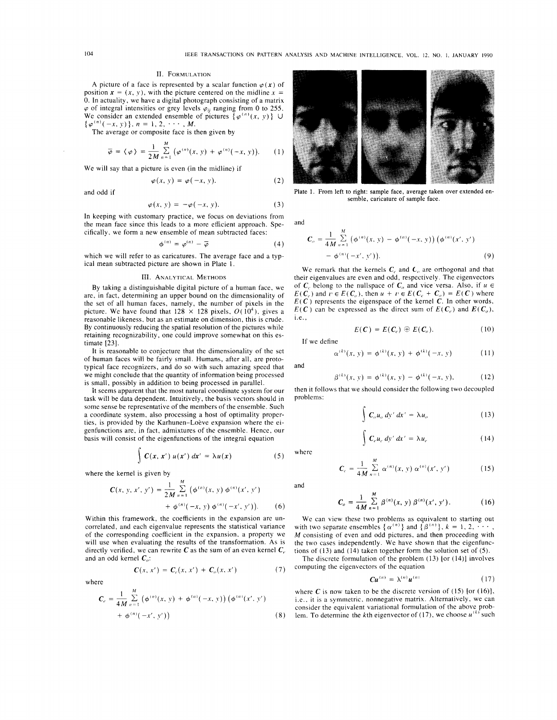### **11.** FORMULATION

A picture of a face is represented by a scalar function  $\varphi(x)$  of position  $\mathbf{x} = (x, y)$ , with the picture centered on the midline  $x =$ 0. In actuality, we have a digital photograph consisting of a matrix  $\varphi$  of integral intensities or grey levels  $\varphi_{ij}$  ranging from 0 to 255. We consider an extended ensemble of pictures  $\{\varphi^{(n)}(x, y)\}\cup$  $\{\varphi^{(n)}(-x, y)\}, n = 1, 2, \cdots, M.$ 

The average or composite face is then given by  
\n
$$
\overline{\varphi} = \langle \varphi \rangle = \frac{1}{2M} \sum_{n=1}^{M} (\varphi^{(n)}(x, y) + \varphi^{(n)}(-x, y)).
$$
\n(1)

We will say that a picture is even (in the midline) if

and odd if

$$
\varphi(x, y) = -\varphi(-x, y). \tag{3}
$$

In keeping with customary practice, we focus on deviations from the mean face since this leads to a more efficient approach. Specifically, we form a new ensemble of mean subtracted faces:<br>  $\phi^{(n)} = \varphi^{(n)} - \overline{\varphi}$ 

 $\varphi(x, y) = \varphi(-x, y)$ .

$$
\phi^{(n)} = \varphi^{(n)} - \overline{\varphi} \tag{4}
$$

which we will refer to as caricatures. The average face and a typical mean subtracted picture are shown in Plate 1.

## **111.** ANALYTICAL METHODS

By taking a distinguishable digital picture of a human face, we are. in fact, determining an upper bound on the dimensionality of the set of all human faces, namely, the number of pixels in the picture. We have found that  $128 \times 128$  pixels,  $O(10^4)$ , gives a reasonable likeness, but as an estimate on dimension, this is crude. By continuously reducing the spatial resolution of the pictures while retaining recognizability, one could improve somewhat on this estimate [23].

It is reasonable to conjecture that the dimensionality of the set of human faces will be fairly small. Humans, after all, are prototypical face recognizers, and do **so** with such amazing speed that we might conclude that the quantity of information being processed is small, possibly in addition to being processed in parallel.

It seems apparent that the most natural coordinate system for our task will be data dependent. Intuitively, the basis vectors should in some sense be representative of the members of the ensemble. Such a coordinate system, also processing a host of optimality properties, is provided by the Karhunen-Loève expansion where the eigenfunctions are, in fact, admixtures of the ensemble. Hence, our basis will consist of the eigenfunctions of the integral equation

$$
\int C(x, x') u(x') dx' = \lambda u(x) \qquad (5)
$$

where the kernel is given by

where

the kernel is given by  
\n
$$
C(x, y, x', y') = \frac{1}{2M} \sum_{n=1}^{M} (\phi^{(n)}(x, y) \phi^{(n)}(x', y')) + \phi^{(n)}(-x, y) \phi^{(n)}(-x', y')).
$$
\n(6)

Within this framework, the coefficients in the expansion are uncorrelated, and each eigenvalue represents the statistical variance of the corresponding coefficient in the expansion. a property we will use when evaluating the results of the transformation. As is directly verified, we can rewrite C as the sum of an even kernel  $C_e$ . and an odd kernel  $C<sub>o</sub>$ :

$$
\mathbf{C}(x, x') = \mathbf{C}_e(x, x') + \mathbf{C}_o(x, x')
$$
 (7)

ere  
\n
$$
C_e = \frac{1}{4M} \sum_{n=1}^{M} (\phi^{(n)}(x, y) + \phi^{(n)}(-x, y)) (\phi^{(n)}(x', y')) + \phi^{(n)}(-x', y'))
$$
\n(8)



**Plate 1. From left to right: sample face, average taken over extended** en**semble, caricature of sample face.** 

and

(2)

$$
C_{\sigma} = \frac{1}{4M} \sum_{n=1}^{M} (\phi^{(n)}(x, y) - \phi^{(n)}(-x, y)) (\phi^{(n)}(x', y') - \phi^{(n)}(-x', y')).
$$
\n(9)

We remark that the kernels  $C_e$  and  $C_q$  are orthogonal and that their eigenvalues are even and odd, respectively. The eigenvectors of  $C_c$  belong to the nullspace of  $C_a$  and vice versa. Also, if  $u \in$  $E(C_e)$  and  $v \in E(C_o)$ , then  $u + v \in E(C_e + C_o) = E(C)$  where  $E(C)$  represents the eigenspace of the kernel C. In other words,  $E(C)$  can be expressed as the direct sum of  $E(C_e)$  and  $E(C_o)$ , i.e..

$$
E(\mathbf{C}) = E(\mathbf{C}_e) \oplus E(\mathbf{C}_o).
$$
 (10)

If we define

$$
\alpha^{(k)}(x, y) = \phi^{(k)}(x, y) + \phi^{(k)}(-x, y) \tag{11}
$$

and

$$
\beta^{(k)}(x, y) = \phi^{(k)}(x, y) - \phi^{(k)}(-x, y), \qquad (12)
$$

then it follows that we should consider the following two decoupled problems:

$$
\int \mathcal{C}_o u_o \, dy' \, dx' = \lambda u_o \tag{13}
$$

$$
\int C_e u_e \, dy' \, dx' = \lambda u_e \tag{14}
$$

where

and

$$
C_e = \frac{1}{4M} \sum_{n=1}^{M} \alpha^{(n)}(x, y) \alpha^{(n)}(x', y')
$$
(15)

$$
\mathcal{C}_o = \frac{1}{4M} \sum_{n=1}^{M} \beta^{(n)}(x, y) \beta^{(n)}(x', y'). \tag{16}
$$

We can view these two problems as equivalent to starting out with two separate ensembles  $\{\alpha^{(n)}\}$  and  $\{\beta^{(n)}\}, k = 1, 2, \dots$ M consisting of even and odd pictures. and then proceeding with the two cases independently. We have shown that the eigenfunctions of (13) and (14) taken together form the solution set of *(5).* 

The discrete formulation of the problem (13) [or (14)] involves computing the eigenvectors of the equation

$$
Cu^{(n)} = \lambda^{(n)}u^{(n)}\tag{17}
$$

where  $C$  is now taken to be the discrete version of (15) [or (16)], i.e.. it is a symmetric. nonnegative matrix. Alternatively, we can consider the equivalent variational formulation of the above prob-<br>lem. To determine the kth eigenvector of (17), we choose  $u^{(k)}$  such lem. To determine the kth eigenvector of (17), we choose  $u^{(k)}$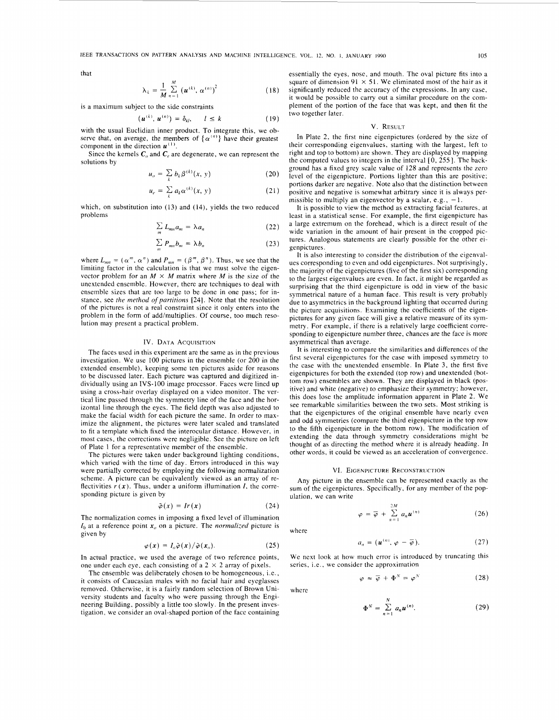that

$$
\lambda_k = \frac{1}{M} \sum_{n=1}^{M} \left( \boldsymbol{u}^{(k)}, \, \alpha^{(n)} \right)^2 \tag{18}
$$

is a maximum subject to the side constraints

$$
(\boldsymbol{u}^{(k)},\,\boldsymbol{u}^{(n)})=\delta_{kl},\qquad l\leq k\tag{19}
$$

with the usual Euclidian inner product. To integrate this, we observe that, on average, the members of  $\{\alpha^{(n)}\}$  have their greatest component in the direction  $\mathbf{u}^{(1)}$ .

Since the kernels  $C_{\alpha}$  and  $C_{\beta}$  are degenerate, we can represent the solutions by

$$
u_o = \sum_k b_k \beta^{(k)}(x, y) \tag{20}
$$

$$
u_e = \sum_k a_k \alpha^{(k)}(x, y) \tag{21}
$$

which, on substitution into (13) and (14), yields the two reduced problems

$$
\sum_{m} L_{mn} a_m = \lambda a_n \tag{22}
$$

$$
\sum_{m} P_{mn} b_m = \lambda b_n \tag{23}
$$

where  $L_{mn} = (\alpha^m, \alpha^n)$  and  $P_{mn} = (\beta^m, \beta^n)$ . Thus, we see that the limiting factor in the calculation is that we must solve the eigenvector problem for an  $M \times M$  matrix where *M* is the size of the unextended ensemble. However, there are techniques to deal with ensemble sizes that are too large to be done in one pass; for instance, see *the method of partitions* [24]. Note that the resolution of the pictures is not a real constraint since it only enters into the problem in the form of add/multiplies. Of course, too much resolution may present a practical problem.

# IV. DATA ACQUISITION

The faces used in this experiment are the same as in the previous investigation. We use 100 pictures in the ensemble (or 200 in the extended ensemble), keeping some ten pictures aside for reasons to be discussed later. Each picture was captured and digitized individually using an IVS-100 image processor. Faces were lined up using a cross-hair overlay displayed on a video monitor. The vertical line passed through the symmetry line of the face and the horizontal line through the eyes. The field depth was also adjusted to make the facial width for each picture the same. In order to maximize the alignment, the pictures were later scaled and translated to fit a template which fixed the interocular distance. However, in most cases, the corrections were negligible. See the picture on left of Plate 1 for a representative member of the ensemble.

The pictures were taken under background lighting conditions, which varied with the time of day. Errors introduced in this way were partially corrected by employing the following normalization scheme. A picture can be equivalently viewed as an array of reflectivities  $r(x)$ . Thus, under a uniform illumination *I*, the corresponding picture is given by

$$
\tilde{\varphi}(x) = Ir(x) \tag{24}
$$

The normalization comes in imposing a fixed level of illumination  $I_0$  at a reference point  $x_0$  on a picture. The *normalized* picture is given by

$$
\varphi(x) = I_o \tilde{\varphi}(x) / \tilde{\varphi}(x_o). \tag{25}
$$

In actual practice, we used the average of two reference points, one under each eye, each consisting of a  $2 \times 2$  array of pixels.

The ensemble was deliberately chosen to be homogeneous, i.e. it consists of Caucasian males with no facial hair and eyeglasses removed. Otherwise, it is a fairly random selection of Brown University students and faculty who were passing through the Engineering Building, possibly a little too slowly. In the present investigation, we consider an oval-shaped portion of the face containing essentially the eyes, nose, and mouth. The oval picture fits into a square of dimension  $91 \times 51$ . We eliminated most of the hair as it significantly reduced the accuracy of the expressions. In any case, it would be possible to carry out a similar procedure on the complement of the portion of the face that was kept, and then fit the two together later.

#### V. RESULT

In Plate 2, the first nine eigenpictures (ordered by the size of their corresponding eigenvalues, starting with the largest, left to right and top to bottom) are shown. They are displayed by mapping the computed values to integers in the interval  $[0, 255]$ . The background has a fixed grey scale value of **128** and represents the zero level of the eigenpicture. Portions lighter than this are positive; portions darker are negative. Note also that the distinction between positive and negative is somewhat arbitrary since it is always permissible to multiply an eigenvector by a scalar, e.g.,  $-1$ .

It is possible to view the method as extracting facial features, at least in a statistical sense. For example, the first eigenpicture has a large extremum on the forehead, which is a direct result of the wide variation in the amount of hair present in the cropped pictures. Analogous statements are clearly possible for the other eigenpictures.

It is also interesting to consider the distribution of the eigenvalues corresponding to even and odd eigenpictures. Not surprisingly, the majority of the eigenpictures (five of the first six) corresponding to the largest eigenvalues are even. In fact, it might be regarded as surprising that the third eigenpicture is odd in view of the basic symmetrical nature of a human face. This result is very probably due to asymmetrics in the background lighting that occurred during the picture acquisitions. Examining the coefficients of the eigenpictures for any given face will give a relative measure of its symmetry. For example, if there is a relatively large coefficient corresponding to eigenpicture number three, chances are the face is more asymmetrical than average.

It is interesting to compare the similarities and differences of the first several eigenpictures for the case with imposed symmetry to the case with the unextended ensemble. In Plate 3, the first five eigenpictures for both the extended (top row) and unextended (bottom row) ensembles are shown. They are displayed in black (positive) and white (negative) to emphasize their symmetry; however, this does lose the amplitude information apparent in Plate *2.* We see remarkable similarities between the two sets. Most striking is that the eigenpictures of the original ensemble have nearly even and odd symmetries (compare the third eigenpicture in the top row to the fifth eigenpicture in the bottom row). The modification of extending the data through symmetry considerations might be thought of as directing the method where it is already heading. In other words, it could be viewed as an acceleration of convergence.

### **VI. EIGENPICTURE RECONSTRUCTION**

Any picture in the ensemble can be represented exactly as the sum of the eigenpictures. Specifically, for any member of the population, we can write

$$
\varphi = \overline{\varphi} + \sum_{n=1}^{2M} a_n \boldsymbol{u}^{(n)} \qquad (26)
$$

where

$$
a_n = (\boldsymbol{u}^{(n)}, \varphi - \overline{\varphi}). \tag{27}
$$

We next look at how much error is introduced by truncating this series. i.e.. we consider the approximation

$$
\varphi \approx \overline{\varphi} + \Phi^N = \varphi^N \tag{28}
$$

where

$$
\Phi^N = \sum_{n=1}^N a_n \boldsymbol{u}^{(n)}.
$$
 (29)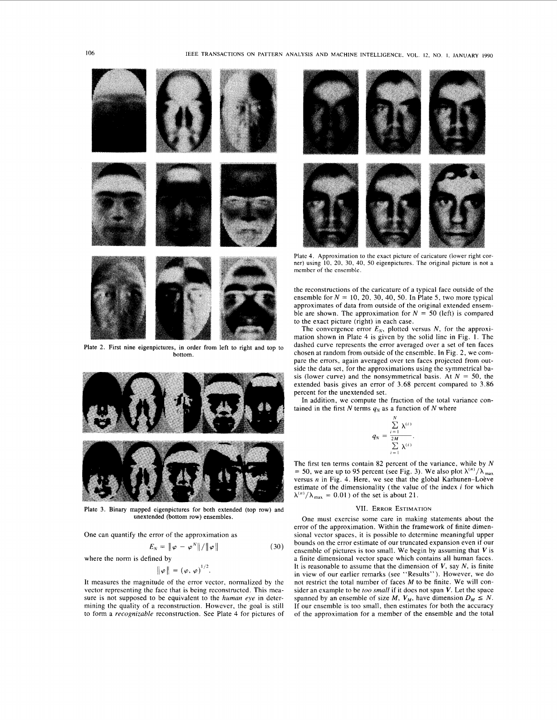

Plate **2.** First nine eigenpictures, in order from left to right and top to bottom.



Plate **3.** Binary mapped eigenpictures for both extended (top row) and unextended (bottom row) ensembles.

One can quantify the error of the approximation as

$$
E_N = \|\varphi - \varphi^N\|/\|\varphi\| \tag{30}
$$

where the norm **is** defined by

$$
\|\varphi\| = (\varphi, \varphi)^{1/2}.
$$

It measures the magnitude of the error vector, normalized by the vector representing the face that is being reconstructed. This measure is not supposed to be equivalent to the *human eye* in determining the quality of a reconstruction. However, the goal is still to form a *recognizable* reconstruction. See Plate 4 for pictures of



Plate **4.** Approximation to the exact picture of caricature (lower right corner) using 10, 20, **30,** 40, 50 eigenpictures. The original picture is not a member of the ensemble.

the reconstructions of the caricature of a typical face outside of the ensemble for  $N = 10, 20, 30, 40, 50$ . In Plate 5, two more typical approximates of data from outside of the original extended ensemble are shown. The approximation for  $N = 50$  (left) is compared to the exact picture (right) in each case.

The convergence error  $E_N$ , plotted versus *N*, for the approximation shown in Plate 4 is given by the solid line in Fig. **1.** The dashed curve represents the error averaged over a set of ten faces chosen at random from outside of the ensemble. In Fig. 2, we compare the errors, again averaged over ten faces projected from outside the data set, for the approximations using the symmetrical basis (lower curve) and the nonsymmetrical basis. At  $N = 50$ , the extended basis gives an error of 3.68 percent compared to 3.86 percent for the unextended set.

In addition, we compute the fraction of the total variance contained in the first *N* terms  $q_N$  as a function of *N* where

te the fraction of the total 
$$
q_N
$$
 as a function of *N* when\n
$$
\sum_{i=1}^{N} \lambda^{(i)}
$$
\n
$$
q_N = \frac{\sum_{i=1}^{N} \lambda^{(i)}}{\sum_{i=1}^{N} \lambda^{(i)}}
$$

The first ten terms contain 82 percent of the variance, while by *N*  = 50, we are up to 95 percent (see Fig. 3). We also plot  $\lambda^{(n)}/\lambda_{\text{max}}$ versus *n* in [Fig. 4.](#page-4-0) Here, we see that the global Karhunen-Loève estimate of the dimensionality (the value of the index *i* for which  $\lambda^{(n)}/\lambda_{\text{max}} = 0.01$ ) of the set is about 21.

### VII. **ERROR ESTIMATION**

One must exercise some care in making statements about the error of the approximation. Within the framework of finite dimensional vector spaces, it is possible to determine meaningful upper bounds on the error estimate of our truncated expansion even if our ensemble of pictures is too small. We begin by assuming that *V* is a finite dimensional vector space which contains all human faces. It is reasonable to assume that the dimension of *V,* say *N,* is finite in view of our earlier remarks (see "Results"). However, we do not restrict the total number of faces *M* to be finite. We will consider an example to be *too small* if it does not span *V.* Let the space spanned by an ensemble of size *M*,  $V_M$ , have dimension  $D_M \leq N$ . If our ensemble is too small, then estimates for both the accuracy of the approximation for a member of the ensemble and the total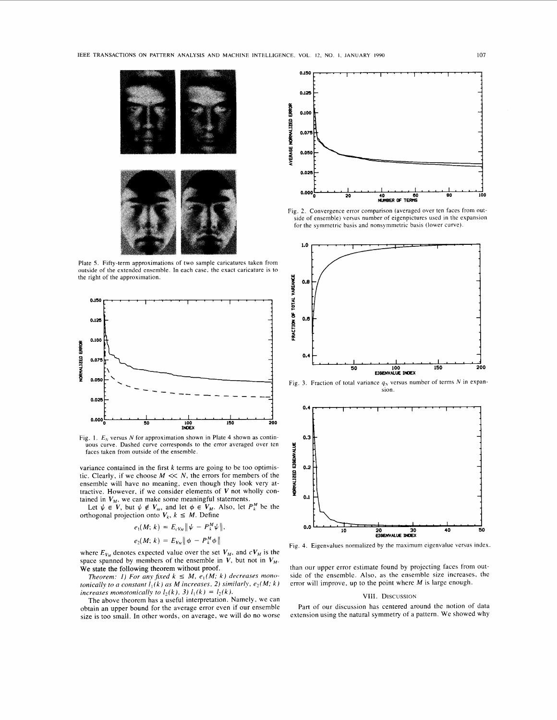<span id="page-4-0"></span>

Plate 5. Fifty-term approximations of two sample caricatures taken from outside of the extended ensemble. In each case, the exact caricature is to the right of the approximation.



Fig. 1.  $E_N$  versus N for approximation shown in Plate 4 shown as continuous curve. Dashed curve corresponds to the error averaged over ten faces taken from outside of the ensemble.

variance contained in the first  $k$  terms are going to be too optimistic. Clearly, if we choose  $M \ll N$ , the errors for members of the ensemble will have no meaning, even though they look very attractive. However, if we consider elements of  $V$  not wholly contained in  $V_M$ , we can make some meaningful statements.

Let  $\psi \in V$ , but  $\psi \notin V_m$ , and let  $\phi \in V_M$ . Also, let  $P_k^M$  be the orthogonal projection onto  $V_k$ ,  $k \leq M$ . Define

$$
e_1(M; k) = E_{cV_M} || \psi - P_k^M \psi ||,
$$

$$
P_2(M; k) = E_{V_M} || \phi - P_k^M \phi ||
$$

where  $E_{V_M}$  denotes expected value over the set  $V_M$ , and  $cV_M$  is the space spanned by members of the ensemble in  $V$ , but not in  $V_M$ . We state the following theorem without proof.

Theorem: 1) For any fixed  $k \leq M$ ,  $e_1(M; k)$  decreases monotonically to a constant  $l_1(k)$  as M increases, 2) similarly,  $e_2(M; k)$ increases monotonically to  $l_2(k)$ , 3)  $l_1(k) = l_2(k)$ .

The above theorem has a useful interpretation. Namely, we can obtain an upper bound for the average error even if our ensemble size is too small. In other words, on average, we will do no worse



Fig. 2. Convergence error comparison (averaged over ten faces from outside of ensemble) versus number of eigenpictures used in the expansion for the symmetric basis and nonsymmetric basis (lower curve).



Fig. 3. Fraction of total variance  $q_N$  versus number of terms N in expansion.



Fig. 4. Eigenvalues normalized by the maximum eigenvalue versus index.

than our upper error estimate found by projecting faces from outside of the ensemble. Also, as the ensemble size increases, the error will improve, up to the point where  $M$  is large enough.

### VIII. DISCUSSION

Part of our discussion has centered around the notion of data extension using the natural symmetry of a pattern. We showed why